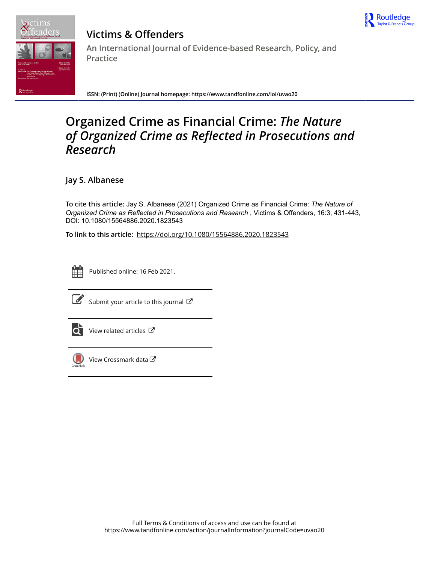



# **Victims & Offenders An International Journal of Evidence-based Research, Policy, and Practice**

**ISSN: (Print) (Online) Journal homepage:<https://www.tandfonline.com/loi/uvao20>**

# **Organized Crime as Financial Crime:** *The Nature of Organized Crime as Reflected in Prosecutions and Research*

**Jay S. Albanese**

To cite this article: Jay S. Albanese (2021) Organized Crime as Financial Crime: *The Nature of OrganizedCrimeasReflectedinProsecutionsandResearch* , Victims & Offenders, 16:3, 431-443, DOI: [10.1080/15564886.2020.1823543](https://www.tandfonline.com/action/showCitFormats?doi=10.1080/15564886.2020.1823543)

**To link to this article:** <https://doi.org/10.1080/15564886.2020.1823543>



Published online: 16 Feb 2021.



 $\overrightarrow{S}$  [Submit your article to this journal](https://www.tandfonline.com/action/authorSubmission?journalCode=uvao20&show=instructions)  $\overrightarrow{S}$ 



 $\overrightarrow{O}$  [View related articles](https://www.tandfonline.com/doi/mlt/10.1080/15564886.2020.1823543)  $\overrightarrow{C}$ 



[View Crossmark data](http://crossmark.crossref.org/dialog/?doi=10.1080/15564886.2020.1823543&domain=pdf&date_stamp=2021-02-16)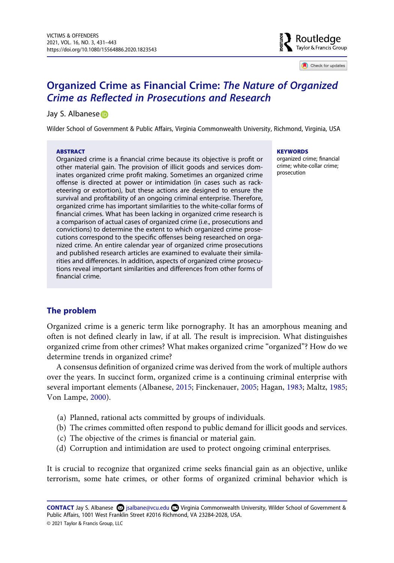

Check for updates

## **Organized Crime as Financial Crime:** *The Nature of Organized Crime as Reflected in Prosecutions and Research*

#### Jay S. Albanese iD

Wilder School of Government & Public Affairs, Virginia Commonwealth University, Richmond, Virginia, USA

#### **ABSTRACT**

Organized crime is a financial crime because its objective is profit or other material gain. The provision of illicit goods and services dominates organized crime profit making. Sometimes an organized crime offense is directed at power or intimidation (in cases such as racketeering or extortion), but these actions are designed to ensure the survival and profitability of an ongoing criminal enterprise. Therefore, organized crime has important similarities to the white-collar forms of financial crimes. What has been lacking in organized crime research is a comparison of actual cases of organized crime (i.e., prosecutions and convictions) to determine the extent to which organized crime prosecutions correspond to the specific offenses being researched on organized crime. An entire calendar year of organized crime prosecutions and published research articles are examined to evaluate their similarities and differences. In addition, aspects of organized crime prosecutions reveal important similarities and differences from other forms of financial crime.

#### **KEYWORDS**

organized crime; financial crime; white-collar crime; prosecution

## **The problem**

Organized crime is a generic term like pornography. It has an amorphous meaning and often is not defined clearly in law, if at all. The result is imprecision. What distinguishes organized crime from other crimes? What makes organized crime "organized"? How do we determine trends in organized crime?

<span id="page-1-1"></span><span id="page-1-0"></span>A consensus definition of organized crime was derived from the work of multiple authors over the years. In succinct form, organized crime is a continuing criminal enterprise with several important elements (Albanese, [2015](#page-10-0); Finckenauer, [2005](#page-11-0); Hagan, [1983;](#page-11-1) Maltz, [1985;](#page-12-0) Von Lampe, [2000\)](#page-12-1).

- (a) Planned, rational acts committed by groups of individuals.
- (b) The crimes committed often respond to public demand for illicit goods and services.
- (c) The objective of the crimes is financial or material gain.
- (d) Corruption and intimidation are used to protect ongoing criminal enterprises.

It is crucial to recognize that organized crime seeks financial gain as an objective, unlike terrorism, some hate crimes, or other forms of organized criminal behavior which is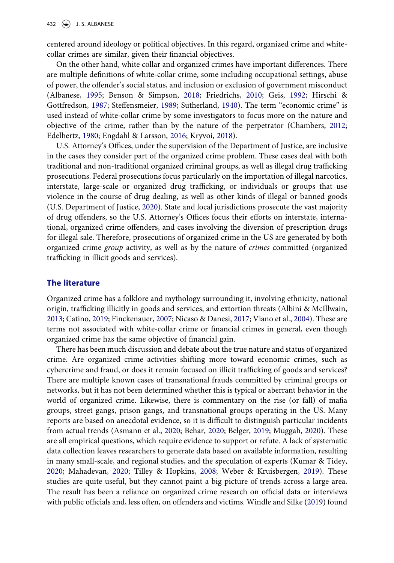centered around ideology or political objectives. In this regard, organized crime and whitecollar crimes are similar, given their financial objectives.

<span id="page-2-6"></span><span id="page-2-0"></span>On the other hand, white collar and organized crimes have important differences. There are multiple definitions of white-collar crime, some including occupational settings, abuse of power, the offender's social status, and inclusion or exclusion of government misconduct (Albanese, [1995;](#page-10-1) Benson & Simpson, [2018](#page-11-2); Friedrichs, [2010](#page-11-3); Geis, [1992;](#page-11-4) Hirschi & Gottfredson, [1987](#page-11-5); Steffensmeier, [1989;](#page-12-2) Sutherland, [1940\)](#page-12-3). The term "economic crime" is used instead of white-collar crime by some investigators to focus more on the nature and objective of the crime, rather than by the nature of the perpetrator (Chambers, [2012;](#page-11-6) Edelhertz, [1980;](#page-11-7) Engdahl & Larsson, [2016;](#page-11-8) Kryvoi, [2018\)](#page-11-9).

<span id="page-2-9"></span><span id="page-2-5"></span><span id="page-2-4"></span>U.S. Attorney's Offices, under the supervision of the Department of Justice, are inclusive in the cases they consider part of the organized crime problem. These cases deal with both traditional and non-traditional organized criminal groups, as well as illegal drug trafficking prosecutions. Federal prosecutions focus particularly on the importation of illegal narcotics, interstate, large-scale or organized drug trafficking, or individuals or groups that use violence in the course of drug dealing, as well as other kinds of illegal or banned goods (U.S. Department of Justice, [2020\)](#page-12-4). State and local jurisdictions prosecute the vast majority of drug offenders, so the U.S. Attorney's Offices focus their efforts on interstate, international, organized crime offenders, and cases involving the diversion of prescription drugs for illegal sale. Therefore, prosecutions of organized crime in the US are generated by both organized crime *group* activity, as well as by the nature of *crimes* committed (organized trafficking in illicit goods and services).

#### **The literature**

<span id="page-2-3"></span><span id="page-2-1"></span>Organized crime has a folklore and mythology surrounding it, involving ethnicity, national origin, trafficking illicitly in goods and services, and extortion threats (Albini & McIllwain, [2013](#page-11-10); Catino, [2019](#page-11-11); Finckenauer, [2007;](#page-11-12) Nicaso & Danesi, [2017](#page-12-5); Viano et al., [2004\)](#page-12-6). These are terms not associated with white-collar crime or financial crimes in general, even though organized crime has the same objective of financial gain.

<span id="page-2-10"></span><span id="page-2-8"></span><span id="page-2-7"></span><span id="page-2-2"></span>There has been much discussion and debate about the true nature and status of organized crime. Are organized crime activities shifting more toward economic crimes, such as cybercrime and fraud, or does it remain focused on illicit trafficking of goods and services? There are multiple known cases of transnational frauds committed by criminal groups or networks, but it has not been determined whether this is typical or aberrant behavior in the world of organized crime. Likewise, there is commentary on the rise (or fall) of mafia groups, street gangs, prison gangs, and transnational groups operating in the US. Many reports are based on anecdotal evidence, so it is difficult to distinguish particular incidents from actual trends (Asmann et al., [2020;](#page-11-13) Behar, [2020](#page-11-14); Belger, [2019](#page-11-15); Muggah, [2020](#page-12-7)). These are all empirical questions, which require evidence to support or refute. A lack of systematic data collection leaves researchers to generate data based on available information, resulting in many small-scale, and regional studies, and the speculation of experts (Kumar & Tidey, [2020](#page-12-8); Mahadevan, [2020](#page-12-9); Tilley & Hopkins, [2008](#page-12-10); Weber & Kruisbergen, [2019](#page-12-11)). These studies are quite useful, but they cannot paint a big picture of trends across a large area. The result has been a reliance on organized crime research on official data or interviews with public officials and, less often, on offenders and victims. Windle and Silke ([2019](#page-13-0)) found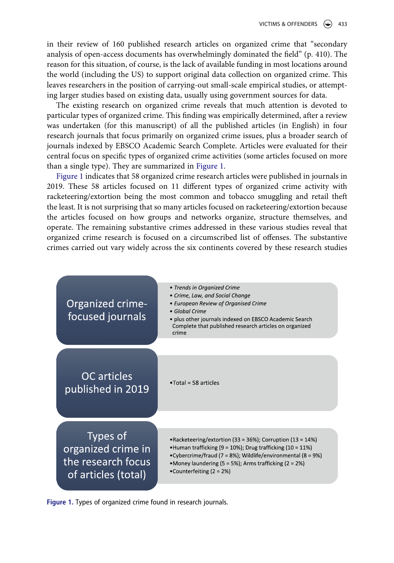in their review of 160 published research articles on organized crime that "secondary analysis of open-access documents has overwhelmingly dominated the field" (p. 410). The reason for this situation, of course, is the lack of available funding in most locations around the world (including the US) to support original data collection on organized crime. This leaves researchers in the position of carrying-out small-scale empirical studies, or attempting larger studies based on existing data, usually using government sources for data.

The existing research on organized crime reveals that much attention is devoted to particular types of organized crime. This finding was empirically determined, after a review was undertaken (for this manuscript) of all the published articles (in English) in four research journals that focus primarily on organized crime issues, plus a broader search of journals indexed by EBSCO Academic Search Complete. Articles were evaluated for their central focus on specific types of organized crime activities (some articles focused on more than a single type). They are summarized in [Figure 1](#page-3-0).

[Figure 1](#page-3-0) indicates that 58 organized crime research articles were published in journals in 2019. These 58 articles focused on 11 different types of organized crime activity with racketeering/extortion being the most common and tobacco smuggling and retail theft the least. It is not surprising that so many articles focused on racketeering/extortion because the articles focused on how groups and networks organize, structure themselves, and operate. The remaining substantive crimes addressed in these various studies reveal that organized crime research is focused on a circumscribed list of offenses. The substantive crimes carried out vary widely across the six continents covered by these research studies

<span id="page-3-0"></span>

**Figure 1.** Types of organized crime found in research journals.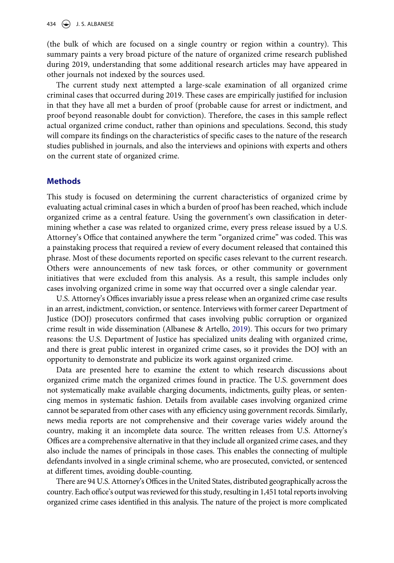434  $\left(\bigoplus$  J. S. ALBANESE

(the bulk of which are focused on a single country or region within a country). This summary paints a very broad picture of the nature of organized crime research published during 2019, understanding that some additional research articles may have appeared in other journals not indexed by the sources used.

The current study next attempted a large-scale examination of all organized crime criminal cases that occurred during 2019. These cases are empirically justified for inclusion in that they have all met a burden of proof (probable cause for arrest or indictment, and proof beyond reasonable doubt for conviction). Therefore, the cases in this sample reflect actual organized crime conduct, rather than opinions and speculations. Second, this study will compare its findings on the characteristics of specific cases to the nature of the research studies published in journals, and also the interviews and opinions with experts and others on the current state of organized crime.

#### **Methods**

This study is focused on determining the current characteristics of organized crime by evaluating actual criminal cases in which a burden of proof has been reached, which include organized crime as a central feature. Using the government's own classification in determining whether a case was related to organized crime, every press release issued by a U.S. Attorney's Office that contained anywhere the term "organized crime" was coded. This was a painstaking process that required a review of every document released that contained this phrase. Most of these documents reported on specific cases relevant to the current research. Others were announcements of new task forces, or other community or government initiatives that were excluded from this analysis. As a result, this sample includes only cases involving organized crime in some way that occurred over a single calendar year.

<span id="page-4-0"></span>U.S. Attorney's Offices invariably issue a press release when an organized crime case results in an arrest, indictment, conviction, or sentence. Interviews with former career Department of Justice (DOJ) prosecutors confirmed that cases involving public corruption or organized crime result in wide dissemination (Albanese & Artello, [2019\)](#page-11-16). This occurs for two primary reasons: the U.S. Department of Justice has specialized units dealing with organized crime, and there is great public interest in organized crime cases, so it provides the DOJ with an opportunity to demonstrate and publicize its work against organized crime.

Data are presented here to examine the extent to which research discussions about organized crime match the organized crimes found in practice. The U.S. government does not systematically make available charging documents, indictments, guilty pleas, or sentencing memos in systematic fashion. Details from available cases involving organized crime cannot be separated from other cases with any efficiency using government records. Similarly, news media reports are not comprehensive and their coverage varies widely around the country, making it an incomplete data source. The written releases from U.S. Attorney's Offices are a comprehensive alternative in that they include all organized crime cases, and they also include the names of principals in those cases. This enables the connecting of multiple defendants involved in a single criminal scheme, who are prosecuted, convicted, or sentenced at different times, avoiding double-counting.

There are 94 U.S. Attorney's Offices in the United States, distributed geographically across the country. Each office's output was reviewed for this study, resulting in 1,451 total reports involving organized crime cases identified in this analysis. The nature of the project is more complicated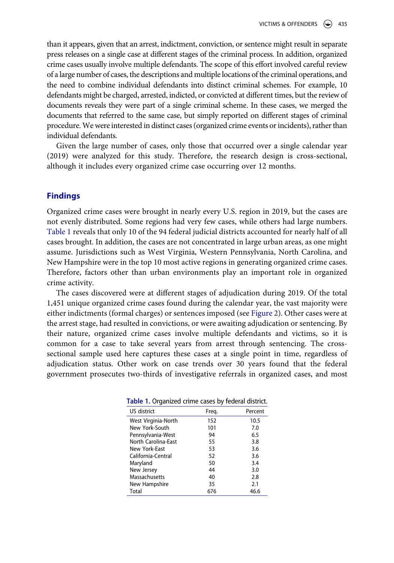than it appears, given that an arrest, indictment, conviction, or sentence might result in separate press releases on a single case at different stages of the criminal process. In addition, organized crime cases usually involve multiple defendants. The scope of this effort involved careful review of a large number of cases, the descriptions and multiple locations of the criminal operations, and the need to combine individual defendants into distinct criminal schemes. For example, 10 defendants might be charged, arrested, indicted, or convicted at different times, but the review of documents reveals they were part of a single criminal scheme. In these cases, we merged the documents that referred to the same case, but simply reported on different stages of criminal procedure. We were interested in distinct cases (organized crime events or incidents), rather than individual defendants.

Given the large number of cases, only those that occurred over a single calendar year (2019) were analyzed for this study. Therefore, the research design is cross-sectional, although it includes every organized crime case occurring over 12 months.

#### **Findings**

Organized crime cases were brought in nearly every U.S. region in 2019, but the cases are not evenly distributed. Some regions had very few cases, while others had large numbers. [Table 1](#page-5-0) reveals that only 10 of the 94 federal judicial districts accounted for nearly half of all cases brought. In addition, the cases are not concentrated in large urban areas, as one might assume. Jurisdictions such as West Virginia, Western Pennsylvania, North Carolina, and New Hampshire were in the top 10 most active regions in generating organized crime cases. Therefore, factors other than urban environments play an important role in organized crime activity.

The cases discovered were at different stages of adjudication during 2019. Of the total 1,451 unique organized crime cases found during the calendar year, the vast majority were either indictments (formal charges) or sentences imposed (see [Figure 2\)](#page-6-0). Other cases were at the arrest stage, had resulted in convictions, or were awaiting adjudication or sentencing. By their nature, organized crime cases involve multiple defendants and victims, so it is common for a case to take several years from arrest through sentencing. The crosssectional sample used here captures these cases at a single point in time, regardless of adjudication status. Other work on case trends over 30 years found that the federal government prosecutes two-thirds of investigative referrals in organized cases, and most

| <b>Table II organized changed as a product answer.</b> |       |         |
|--------------------------------------------------------|-------|---------|
| US district                                            | Freg. | Percent |
| West Virginia-North                                    | 152   | 10.5    |
| New York-South                                         | 101   | 7.0     |
| Pennsylvania-West                                      | 94    | 6.5     |
| North Carolina-East                                    | 55    | 3.8     |
| New York-East                                          | 53    | 3.6     |
| California-Central                                     | 52    | 3.6     |
| Maryland                                               | 50    | 3.4     |
| New Jersey                                             | 44    | 3.0     |
| Massachusetts                                          | 40    | 2.8     |
| New Hampshire                                          | 35    | 2.1     |
| Total                                                  | 676   | 46.6    |

<span id="page-5-0"></span>**Table 1.** Organized crime cases by federal district.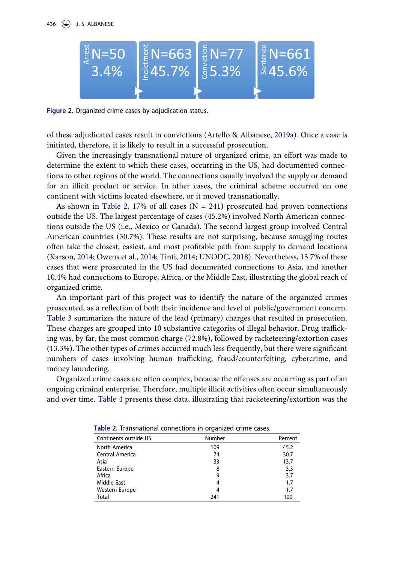<span id="page-6-0"></span>

**Figure 2.** Organized crime cases by adjudication status.

<span id="page-6-2"></span>of these adjudicated cases result in convictions (Artello & Albanese, [2019a\)](#page-11-17). Once a case is initiated, therefore, it is likely to result in a successful prosecution.

Given the increasingly transnational nature of organized crime, an effort was made to determine the extent to which these cases, occurring in the US, had documented connections to other regions of the world. The connections usually involved the supply or demand for an illicit product or service. In other cases, the criminal scheme occurred on one continent with victims located elsewhere, or it moved transnationally.

As shown in [Table 2](#page-6-1), 17% of all cases ( $N = 241$ ) prosecuted had proven connections outside the US. The largest percentage of cases (45.2%) involved North American connections outside the US (i.e., Mexico or Canada). The second largest group involved Central American countries (30.7%). These results are not surprising, because smuggling routes often take the closest, easiest, and most profitable path from supply to demand locations (Karson, [2014;](#page-11-18) Owens et al., [2014](#page-12-12); Tinti, [2014;](#page-12-13) UNODC, [2018\)](#page-12-14). Nevertheless, 13.7% of these cases that were prosecuted in the US had documented connections to Asia, and another 10.4% had connections to Europe, Africa, or the Middle East, illustrating the global reach of organized crime.

<span id="page-6-3"></span>An important part of this project was to identify the nature of the organized crimes prosecuted, as a reflection of both their incidence and level of public/government concern. [Table 3](#page-7-0) summarizes the nature of the lead (primary) charges that resulted in prosecution. These charges are grouped into 10 substantive categories of illegal behavior. Drug trafficking was, by far, the most common charge (72.8%), followed by racketeering/extortion cases (13.3%). The other types of crimes occurred much less frequently, but there were significant numbers of cases involving human trafficking, fraud/counterfeiting, cybercrime, and money laundering.

Organized crime cases are often complex, because the offenses are occurring as part of an ongoing criminal enterprise. Therefore, multiple illicit activities often occur simultaneously and over time. [Table 4](#page-7-1) presents these data, illustrating that racketeering/extortion was the

| Number | Percent |  |  |  |
|--------|---------|--|--|--|
| 109    | 45.2    |  |  |  |
| 74     | 30.7    |  |  |  |
| 33     | 13.7    |  |  |  |
| 8      | 3.3     |  |  |  |
| 9      | 3.7     |  |  |  |
| 4      | 1.7     |  |  |  |
| 4      | 1.7     |  |  |  |
| 241    | 100     |  |  |  |
|        |         |  |  |  |

<span id="page-6-1"></span>**Table 2.** Transnational connections in organized crime cases.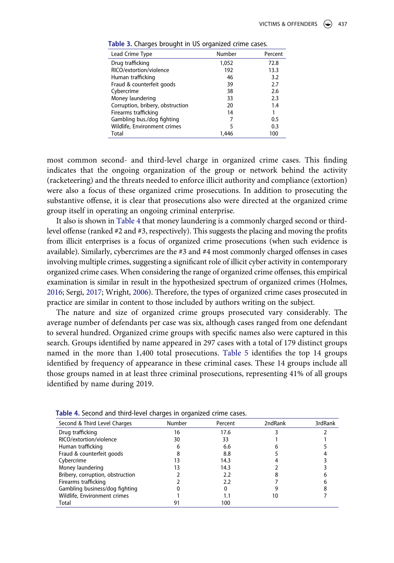| Lead Crime Type                  | Number | Percent |
|----------------------------------|--------|---------|
| Drug trafficking                 | 1,052  | 72.8    |
| RICO/extortion/violence          | 192    | 13.3    |
| Human trafficking                | 46     | 3.2     |
| Fraud & counterfeit goods        | 39     | 2.7     |
| Cybercrime                       | 38     | 2.6     |
| Money laundering                 | 33     | 2.3     |
| Corruption, bribery, obstruction | 20     | 1.4     |
| Firearms trafficking             | 14     | 1       |
| Gambling bus./dog fighting       | 7      | 0.5     |
| Wildlife, Environment crimes     | 5      | 0.3     |
| Total                            | 1.446  | 100     |
|                                  |        |         |

<span id="page-7-0"></span>**Table 3.** Charges brought in US organized crime cases.

most common second- and third-level charge in organized crime cases. This finding indicates that the ongoing organization of the group or network behind the activity (racketeering) and the threats needed to enforce illicit authority and compliance (extortion) were also a focus of these organized crime prosecutions. In addition to prosecuting the substantive offense, it is clear that prosecutions also were directed at the organized crime group itself in operating an ongoing criminal enterprise.

It also is shown in [Table 4](#page-7-1) that money laundering is a commonly charged second or thirdlevel offense (ranked #2 and #3, respectively). This suggests the placing and moving the profits from illicit enterprises is a focus of organized crime prosecutions (when such evidence is available). Similarly, cybercrimes are the #3 and #4 most commonly charged offenses in cases involving multiple crimes, suggesting a significant role of illicit cyber activity in contemporary organized crime cases. When considering the range of organized crime offenses, this empirical examination is similar in result in the hypothesized spectrum of organized crimes (Holmes, [2016;](#page-11-19) Sergi, [2017](#page-12-15); Wright, [2006\)](#page-13-1). Therefore, the types of organized crime cases prosecuted in practice are similar in content to those included by authors writing on the subject.

<span id="page-7-3"></span><span id="page-7-2"></span>The nature and size of organized crime groups prosecuted vary considerably. The average number of defendants per case was six, although cases ranged from one defendant to several hundred. Organized crime groups with specific names also were captured in this search. Groups identified by name appeared in 297 cases with a total of 179 distinct groups named in the more than 1,400 total prosecutions. [Table 5](#page-8-0) identifies the top 14 groups identified by frequency of appearance in these criminal cases. These 14 groups include all those groups named in at least three criminal prosecutions, representing 41% of all groups identified by name during 2019.

| Second & Third Level Charges     | <b>Number</b> | Percent | 2ndRank | 3rdRank |
|----------------------------------|---------------|---------|---------|---------|
| Drug trafficking                 | 16            | 17.6    |         |         |
| RICO/extortion/violence          | 30            | 33      |         |         |
| Human trafficking                |               | 6.6     |         |         |
| Fraud & counterfeit goods        |               | 8.8     |         |         |
| Cybercrime                       |               | 14.3    |         |         |
| Money laundering                 | 3             | 14.3    |         |         |
| Bribery, corruption, obstruction |               | 2.2     |         |         |
| Firearms trafficking             |               | 2.2     |         |         |
| Gambling business/dog fighting   |               |         |         |         |
| Wildlife, Environment crimes     |               | Ι.Ι     | 10      |         |
| Total                            |               | 100     |         |         |

<span id="page-7-1"></span>**Table 4.** Second and third-level charges in organized crime cases.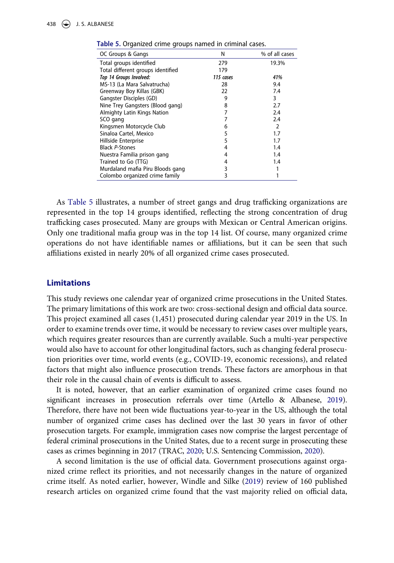| OC Groups & Gangs                 | N         | % of all cases |
|-----------------------------------|-----------|----------------|
| Total groups identified           | 279       | 19.3%          |
| Total different groups identified | 179       |                |
| Top 14 Groups Involved:           | 115 cases | 41%            |
| MS-13 (La Mara Salvatrucha)       | 28        | 9.4            |
| Greenway Boy Killas (GBK)         | 22        | 7.4            |
| Gangster Disciples (GD)           | 9         | 3              |
| Nine Trey Gangsters (Blood gang)  | 8         | 2.7            |
| Almighty Latin Kings Nation       | 7         | 2.4            |
| SCO gang                          |           | 2.4            |
| Kingsmen Motorcycle Club          | 6         | 2              |
| Sinaloa Cartel, Mexico            | 5         | 1.7            |
| Hillside Enterprise               | 5         | 1.7            |
| <b>Black P-Stones</b>             | 4         | 1.4            |
| Nuestra Familia prison gang       | 4         | 1.4            |
| Trained to Go (TTG)               | 4         | 1.4            |
| Murdaland mafia Piru Bloods gang  | 3         |                |
| Colombo organized crime family    | 3         |                |

<span id="page-8-0"></span>**Table 5.** Organized crime groups named in criminal cases.

As [Table 5](#page-8-0) illustrates, a number of street gangs and drug trafficking organizations are represented in the top 14 groups identified, reflecting the strong concentration of drug trafficking cases prosecuted. Many are groups with Mexican or Central American origins. Only one traditional mafia group was in the top 14 list. Of course, many organized crime operations do not have identifiable names or affiliations, but it can be seen that such affiliations existed in nearly 20% of all organized crime cases prosecuted.

### **Limitations**

This study reviews one calendar year of organized crime prosecutions in the United States. The primary limitations of this work are two: cross-sectional design and official data source. This project examined all cases (1,451) prosecuted during calendar year 2019 in the US. In order to examine trends over time, it would be necessary to review cases over multiple years, which requires greater resources than are currently available. Such a multi-year perspective would also have to account for other longitudinal factors, such as changing federal prosecution priorities over time, world events (e.g., COVID-19, economic recessions), and related factors that might also influence prosecution trends. These factors are amorphous in that their role in the causal chain of events is difficult to assess.

<span id="page-8-1"></span>It is noted, however, that an earlier examination of organized crime cases found no significant increases in prosecution referrals over time (Artello & Albanese, [2019](#page-11-20)). Therefore, there have not been wide fluctuations year-to-year in the US, although the total number of organized crime cases has declined over the last 30 years in favor of other prosecution targets. For example, immigration cases now comprise the largest percentage of federal criminal prosecutions in the United States, due to a recent surge in prosecuting these cases as crimes beginning in 2017 (TRAC, [2020](#page-12-16); U.S. Sentencing Commission, [2020](#page-12-17)).

<span id="page-8-2"></span>A second limitation is the use of official data. Government prosecutions against organized crime reflect its priorities, and not necessarily changes in the nature of organized crime itself. As noted earlier, however, Windle and Silke [\(2019](#page-13-0)) review of 160 published research articles on organized crime found that the vast majority relied on official data,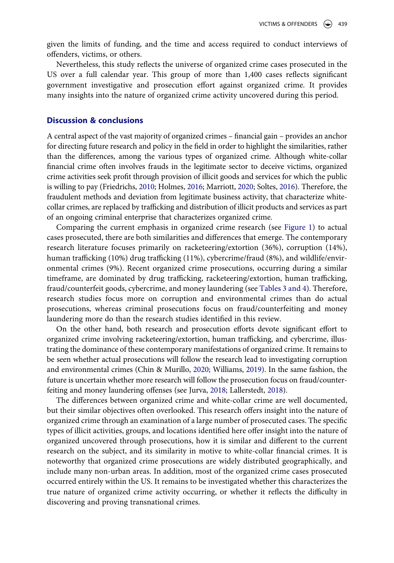given the limits of funding, and the time and access required to conduct interviews of offenders, victims, or others.

Nevertheless, this study reflects the universe of organized crime cases prosecuted in the US over a full calendar year. This group of more than 1,400 cases reflects significant government investigative and prosecution effort against organized crime. It provides many insights into the nature of organized crime activity uncovered during this period.

#### **Discussion & conclusions**

A central aspect of the vast majority of organized crimes – financial gain – provides an anchor for directing future research and policy in the field in order to highlight the similarities, rather than the differences, among the various types of organized crime. Although white-collar financial crime often involves frauds in the legitimate sector to deceive victims, organized crime activities seek profit through provision of illicit goods and services for which the public is willing to pay (Friedrichs, [2010](#page-11-3); Holmes, [2016](#page-11-19); Marriott, [2020](#page-12-18); Soltes, [2016](#page-12-19)). Therefore, the fraudulent methods and deviation from legitimate business activity, that characterize whitecollar crimes, are replaced by trafficking and distribution of illicit products and services as part of an ongoing criminal enterprise that characterizes organized crime.

<span id="page-9-2"></span>Comparing the current emphasis in organized crime research (see [Figure 1\)](#page-3-0) to actual cases prosecuted, there are both similarities and differences that emerge. The contemporary research literature focuses primarily on racketeering/extortion (36%), corruption (14%), human trafficking (10%) drug trafficking (11%), cybercrime/fraud (8%), and wildlife/environmental crimes (9%). Recent organized crime prosecutions, occurring during a similar timeframe, are dominated by drug trafficking, racketeering/extortion, human trafficking, fraud/counterfeit goods, cybercrime, and money laundering (see [Tables 3 and 4\)](#page-7-0). Therefore, research studies focus more on corruption and environmental crimes than do actual prosecutions, whereas criminal prosecutions focus on fraud/counterfeiting and money laundering more do than the research studies identified in this review.

On the other hand, both research and prosecution efforts devote significant effort to organized crime involving racketeering/extortion, human trafficking, and cybercrime, illustrating the dominance of these contemporary manifestations of organized crime. It remains to be seen whether actual prosecutions will follow the research lead to investigating corruption and environmental crimes (Chin & Murillo, [2020;](#page-11-21) Williams, [2019\)](#page-13-2). In the same fashion, the future is uncertain whether more research will follow the prosecution focus on fraud/counterfeiting and money laundering offenses (see Jurva, [2018;](#page-11-22) Lallerstedt, [2018\)](#page-12-20).

<span id="page-9-1"></span><span id="page-9-0"></span>The differences between organized crime and white-collar crime are well documented, but their similar objectives often overlooked. This research offers insight into the nature of organized crime through an examination of a large number of prosecuted cases. The specific types of illicit activities, groups, and locations identified here offer insight into the nature of organized uncovered through prosecutions, how it is similar and different to the current research on the subject, and its similarity in motive to white-collar financial crimes. It is noteworthy that organized crime prosecutions are widely distributed geographically, and include many non-urban areas. In addition, most of the organized crime cases prosecuted occurred entirely within the US. It remains to be investigated whether this characterizes the true nature of organized crime activity occurring, or whether it reflects the difficulty in discovering and proving transnational crimes.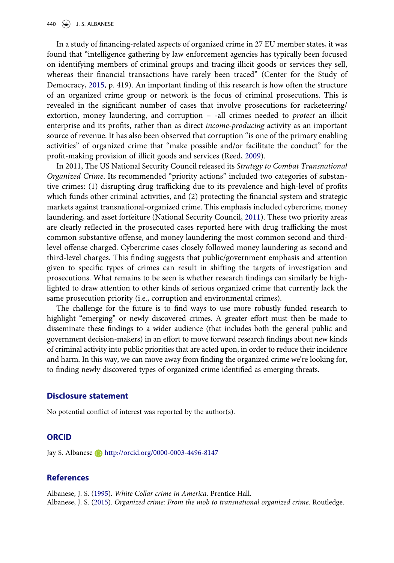<span id="page-10-2"></span>In a study of financing-related aspects of organized crime in 27 EU member states, it was found that "intelligence gathering by law enforcement agencies has typically been focused on identifying members of criminal groups and tracing illicit goods or services they sell, whereas their financial transactions have rarely been traced" (Center for the Study of Democracy, [2015,](#page-11-23) p. 419). An important finding of this research is how often the structure of an organized crime group or network is the focus of criminal prosecutions. This is revealed in the significant number of cases that involve prosecutions for racketeering/ extortion, money laundering, and corruption – -all crimes needed to *protect* an illicit enterprise and its profits, rather than as direct *income-producing* activity as an important source of revenue. It has also been observed that corruption "is one of the primary enabling activities" of organized crime that "make possible and/or facilitate the conduct" for the profit-making provision of illicit goods and services (Reed, [2009\)](#page-12-21).

<span id="page-10-4"></span><span id="page-10-3"></span>In 2011, The US National Security Council released its *Strategy to Combat Transnational Organized Crime*. Its recommended "priority actions" included two categories of substantive crimes: (1) disrupting drug trafficking due to its prevalence and high-level of profits which funds other criminal activities, and (2) protecting the financial system and strategic markets against transnational-organized crime. This emphasis included cybercrime, money laundering, and asset forfeiture (National Security Council, [2011](#page-12-22)). These two priority areas are clearly reflected in the prosecuted cases reported here with drug trafficking the most common substantive offense, and money laundering the most common second and thirdlevel offense charged. Cybercrime cases closely followed money laundering as second and third-level charges. This finding suggests that public/government emphasis and attention given to specific types of crimes can result in shifting the targets of investigation and prosecutions. What remains to be seen is whether research findings can similarly be highlighted to draw attention to other kinds of serious organized crime that currently lack the same prosecution priority (i.e., corruption and environmental crimes).

The challenge for the future is to find ways to use more robustly funded research to highlight "emerging" or newly discovered crimes. A greater effort must then be made to disseminate these findings to a wider audience (that includes both the general public and government decision-makers) in an effort to move forward research findings about new kinds of criminal activity into public priorities that are acted upon, in order to reduce their incidence and harm. In this way, we can move away from finding the organized crime we're looking for, to finding newly discovered types of organized crime identified as emerging threats.

#### **Disclosure statement**

No potential conflict of interest was reported by the author(s).

#### **ORCID**

Jay S. Albanese **b** http://orcid.org/0000-0003-4496-8147

#### **References**

<span id="page-10-1"></span><span id="page-10-0"></span>Albanese, J. S. [\(1995](#page-2-0)). *White Collar crime in America*. Prentice Hall. Albanese, J. S. [\(2015](#page-1-0)). *Organized crime: From the mob to transnational organized crime*. Routledge.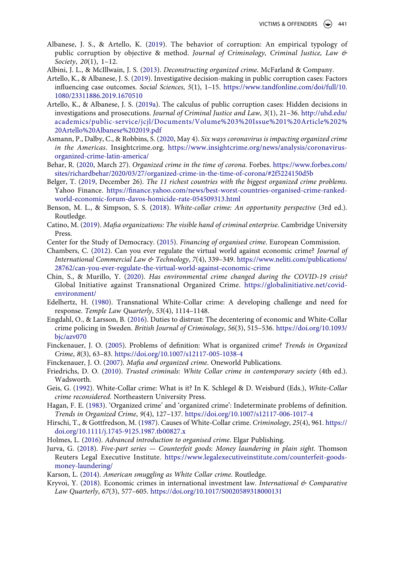- <span id="page-11-16"></span>Albanese, J. S., & Artello, K. [\(2019](#page-4-0)). The behavior of corruption: An empirical typology of public corruption by objective & method. *Journal of Criminology, Criminal Justice, Law & Society*, *20*(1), 1–12.
- <span id="page-11-10"></span>Albini, J. L., & McIllwain, J. S. ([2013\)](#page-2-1). *Deconstructing organized crime*. McFarland & Company.
- <span id="page-11-20"></span>Artello, K., & Albanese, J. S. [\(2019](#page-8-1)). Investigative decision-making in public corruption cases: Factors influencing case outcomes. *Social Sciences*, *5*(1), 1–15. [https://www.tandfonline.com/doi/full/10.](https://www.tandfonline.com/doi/full/10.1080/23311886.2019.1670510) [1080/23311886.2019.1670510](https://www.tandfonline.com/doi/full/10.1080/23311886.2019.1670510)
- <span id="page-11-17"></span>Artello, K., & Albanese, J. S. ([2019a](#page-6-2)). The calculus of public corruption cases: Hidden decisions in investigations and prosecutions. *Journal of Criminal Justice and Law*, *3*(1), 21–36. [http://uhd.edu/](http://uhd.edu/academics/public-service/jcjl/Documents/Volume%203%20Issue%201%20Article%202%20Artello%20Albanese%202019.pdf) [academics/public-service/jcjl/Documents/Volume%203%20Issue%201%20Article%202%](http://uhd.edu/academics/public-service/jcjl/Documents/Volume%203%20Issue%201%20Article%202%20Artello%20Albanese%202019.pdf)  [20Artello%20Albanese%202019.pdf](http://uhd.edu/academics/public-service/jcjl/Documents/Volume%203%20Issue%201%20Article%202%20Artello%20Albanese%202019.pdf)
- <span id="page-11-13"></span>Asmann, P., Dalby, C., & Robbins, S. ([2020](#page-2-2), May 4). *Six ways coronavirus is impacting organized crime in the Americas*. Insightcrime.org. [https://www.insightcrime.org/news/analysis/coronavirus](https://www.insightcrime.org/news/analysis/coronavirus-organized-crime-latin-america/)[organized-crime-latin-america/](https://www.insightcrime.org/news/analysis/coronavirus-organized-crime-latin-america/)
- <span id="page-11-14"></span>Behar, R. [\(2020](#page-2-2), March 27). *Organized crime in the time of corona*. Forbes. [https://www.forbes.com/](https://www.forbes.com/sites/richardbehar/2020/03/27/organized-crime-in-the-time-of-corona/#2f5224150d5b) [sites/richardbehar/2020/03/27/organized-crime-in-the-time-of-corona/#2f5224150d5b](https://www.forbes.com/sites/richardbehar/2020/03/27/organized-crime-in-the-time-of-corona/#2f5224150d5b)
- <span id="page-11-15"></span>Belger, T. ([2019,](#page-2-2) December 26). *The 11 richest countries with the biggest organized crime problems*. Yahoo Finance. [https://finance.yahoo.com/news/best-worst-countries-organised-crime-ranked](https://finance.yahoo.com/news/best-worst-countries-organised-crime-ranked-world-economic-forum-davos-homicide-rate-054509313.html)[world-economic-forum-davos-homicide-rate-054509313.html](https://finance.yahoo.com/news/best-worst-countries-organised-crime-ranked-world-economic-forum-davos-homicide-rate-054509313.html)
- <span id="page-11-2"></span>Benson, M. L., & Simpson, S. S. ([2018](#page-2-0)). *White-collar crime: An opportunity perspective* (3rd ed.). Routledge.
- <span id="page-11-11"></span>Catino, M. [\(2019](#page-2-3)). *Mafia organizations: The visible hand of criminal enterprise*. Cambridge University Press.
- <span id="page-11-23"></span>Center for the Study of Democracy. ([2015](#page-10-2)). *Financing of organised crime*. European Commission.
- <span id="page-11-6"></span>Chambers, C. ([2012](#page-2-4)). Can you ever regulate the virtual world against economic crime? *Journal of International Commercial Law & Technology*, *7*(4), 339–349. [https://www.neliti.com/publications/](https://www.neliti.com/publications/28762/can-you-ever-regulate-the-virtual-world-against-economic-crime) [28762/can-you-ever-regulate-the-virtual-world-against-economic-crime](https://www.neliti.com/publications/28762/can-you-ever-regulate-the-virtual-world-against-economic-crime)
- <span id="page-11-21"></span>Chin, S., & Murillo, Y. [\(2020\)](#page-9-0). *Has environmental crime changed during the COVID-19 crisis?*  Global Initiative against Transnational Organized Crime. [https://globalinitiative.net/covid](https://globalinitiative.net/covid-environment/)[environment/](https://globalinitiative.net/covid-environment/)
- <span id="page-11-7"></span>Edelhertz, H. ([1980](#page-2-5)). Transnational White-Collar crime: A developing challenge and need for response. *Temple Law Quarterly*, *53*(4), 1114–1148.
- <span id="page-11-8"></span>Engdahl, O., & Larsson, B. [\(2016\)](#page-2-5). Duties to distrust: The decentering of economic and White-Collar crime policing in Sweden. *British Journal of Criminology*, *56*(3), 515–536. [https://doi.org/10.1093/](https://doi.org/10.1093/bjc/azv070) [bjc/azv070](https://doi.org/10.1093/bjc/azv070)
- <span id="page-11-0"></span>Finckenauer, J. O. [\(2005](#page-1-0)). Problems of definition: What is organized crime? *Trends in Organized Crime*, *8*(3), 63–83. <https://doi.org/10.1007/s12117-005-1038-4>
- <span id="page-11-12"></span>Finckenauer, J. O. [\(2007\)](#page-2-3). *Mafia and organized crime*. Oneworld Publications.
- <span id="page-11-3"></span>Friedrichs, D. O. [\(2010\)](#page-2-0). *Trusted criminals: White Collar crime in contemporary society* (4th ed.). Wadsworth.
- <span id="page-11-4"></span>Geis, G. ([1992](#page-2-0)). White-Collar crime: What is it? In K. Schlegel & D. Weisburd (Eds.), *White-Collar crime reconsidered*. Northeastern University Press.
- <span id="page-11-1"></span>Hagan, F. E. [\(1983](#page-1-0)). 'Organized crime' and 'organized crime': Indeterminate problems of definition. *Trends in Organized Crime*, *9*(4), 127–137. <https://doi.org/10.1007/s12117-006-1017-4>
- <span id="page-11-5"></span>Hirschi, T., & Gottfredson, M. [\(1987](#page-2-6)). Causes of White-Collar crime. *Criminology*, *25*(4), 961. [https://](https://doi.org/10.1111/j.1745-9125.1987.tb00827.x) [doi.org/10.1111/j.1745-9125.1987.tb00827.x](https://doi.org/10.1111/j.1745-9125.1987.tb00827.x)
- <span id="page-11-19"></span>Holmes, L. ([2016](#page-7-2)). *Advanced introduction to organised crime*. Elgar Publishing.
- <span id="page-11-22"></span>Jurva, G. ([2018](#page-9-1)). *Five-part series — Counterfeit goods: Money laundering in plain sight*. Thomson Reuters Legal Executive Institute. [https://www.legalexecutiveinstitute.com/counterfeit-goods](https://www.legalexecutiveinstitute.com/counterfeit-goods-money-laundering/)[money-laundering/](https://www.legalexecutiveinstitute.com/counterfeit-goods-money-laundering/)
- <span id="page-11-18"></span>Karson, L. ([2014\)](#page-6-3). *American smuggling as White Collar crime*. Routledge.
- <span id="page-11-9"></span>Kryvoi, Y. [\(2018](#page-2-5)). Economic crimes in international investment law. *International & Comparative Law Quarterly*, *67*(3), 577–605. <https://doi.org/10.1017/S0020589318000131>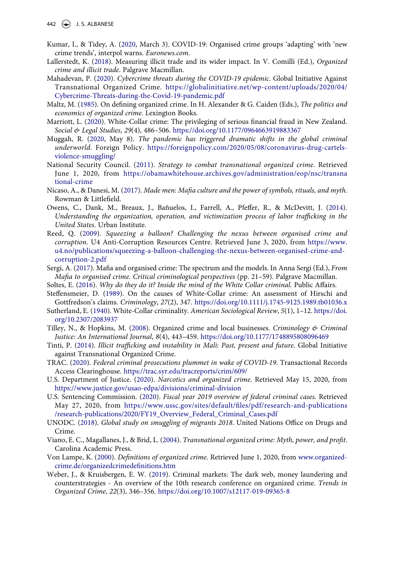- <span id="page-12-8"></span>Kumar, I., & Tidey, A. [\(2020](#page-2-7), March 3). COVID-19: Organised crime groups 'adapting' with 'new crime trends', interpol warns. *Euronews.com*.
- <span id="page-12-20"></span>Lallerstedt, K. ([2018\)](#page-9-1). Measuring illicit trade and its wider impact. In V. Comilli (Ed.), *Organized crime and illicit trade*. Palgrave Macmillan.
- <span id="page-12-9"></span>Mahadevan, P. [\(2020\)](#page-2-8). *Cybercrime threats during the COVID-19 epidemic*. Global Initiative Against Transnational Organized Crime. [https://globalinitiative.net/wp-content/uploads/2020/04/](https://globalinitiative.net/wp-content/uploads/2020/04/Cybercrime-Threats-during-the-Covid-19-pandemic.pdf)  [Cybercrime-Threats-during-the-Covid-19-pandemic.pdf](https://globalinitiative.net/wp-content/uploads/2020/04/Cybercrime-Threats-during-the-Covid-19-pandemic.pdf)
- <span id="page-12-0"></span>Maltz, M. ([1985\)](#page-1-0). On defining organized crime. In H. Alexander & G. Caiden (Eds.), *The politics and economics of organized crime*. Lexington Books.
- <span id="page-12-18"></span>Marriott, L. [\(2020\)](#page-9-2). White-Collar crime: The privileging of serious financial fraud in New Zealand. *Social & Legal Studies*, *29*(4), 486–506. <https://doi.org/10.1177/0964663919883367>
- <span id="page-12-7"></span>Muggah, R. ([2020](#page-2-2), May 8). *The pandemic has triggered dramatic shifts in the global criminal underworld*. Foreign Policy. [https://foreignpolicy.com/2020/05/08/coronavirus-drug-cartels](https://foreignpolicy.com/2020/05/08/coronavirus-drug-cartels-violence-smuggling/)[violence-smuggling/](https://foreignpolicy.com/2020/05/08/coronavirus-drug-cartels-violence-smuggling/)
- <span id="page-12-22"></span>National Security Council. [\(2011\)](#page-10-3). *Strategy to combat transnational organized crime*. Retrieved June 1, 2020, from [https://obamawhitehouse.archives.gov/administration/eop/nsc/transna](https://obamawhitehouse.archives.gov/administration/eop/nsc/transnational-crime) [tional-crime](https://obamawhitehouse.archives.gov/administration/eop/nsc/transnational-crime)
- <span id="page-12-5"></span>Nicaso, A., & Danesi, M. [\(2017](#page-2-3)). *Made men: Mafia culture and the power of symbols, rituals, and myth*. Rowman & Littlefield.
- <span id="page-12-12"></span>Owens, C., Dank, M., Breaux, J., Bañuelos, I., Farrell, A., Pfeffer, R., & McDevitt, J. [\(2014\)](#page-6-3). *Understanding the organization, operation, and victimization process of labor trafficking in the United States*. Urban Institute.
- <span id="page-12-21"></span>Reed, Q. ([2009](#page-10-4)). *Squeezing a balloon? Challenging the nexus between organised crime and corruption*. U4 Anti-Corruption Resources Centre. Retrieved June 3, 2020, from [https://www.](https://www.u4.no/publications/squeezing-a-balloon-challenging-the-nexus-between-organised-crime-and-corruption-2.pdf) [u4.no/publications/squeezing-a-balloon-challenging-the-nexus-between-organised-crime-and](https://www.u4.no/publications/squeezing-a-balloon-challenging-the-nexus-between-organised-crime-and-corruption-2.pdf)[corruption-2.pdf](https://www.u4.no/publications/squeezing-a-balloon-challenging-the-nexus-between-organised-crime-and-corruption-2.pdf)
- <span id="page-12-15"></span>Sergi, A. [\(2017\)](#page-7-3). Mafia and organised crime: The spectrum and the models. In Anna Sergi (Ed.), *From Mafia to organised crime. Critical criminological perspectives* (pp. 21–59). Palgrave Macmillan.
- <span id="page-12-19"></span>Soltes, E. ([2016\)](#page-9-2). *Why do they do it? Inside the mind of the White Collar criminal*. Public Affairs.
- <span id="page-12-2"></span>Steffensmeier, D. [\(1989](#page-2-6)). On the causes of White-Collar crime: An assessment of Hirschi and Gottfredson's claims. *Criminology*, *27*(2), 347. <https://doi.org/10.1111/j.1745-9125.1989.tb01036.x>
- <span id="page-12-3"></span>Sutherland, E. ([1940](#page-2-6)). White-Collar criminality. *American Sociological Review*, *5*(1), 1–12. [https://doi.](https://doi.org/10.2307/2083937) [org/10.2307/2083937](https://doi.org/10.2307/2083937)
- <span id="page-12-10"></span>Tilley, N., & Hopkins, M. [\(2008\)](#page-2-8). Organized crime and local businesses. *Criminology & Criminal Justice: An International Journal*, *8*(4), 443–459. <https://doi.org/10.1177/1748895808096469>
- <span id="page-12-13"></span>Tinti, P. ([2014\)](#page-6-3). *Illicit trafficking and instability in Mali: Past, present and future*. Global Initiative against Transnational Organized Crime.
- <span id="page-12-16"></span>TRAC. ([2020](#page-8-2)). *Federal criminal prosecutions plummet in wake of COVID-19*. Transactional Records Access Clearinghouse. <https://trac.syr.edu/tracreports/crim/609/>
- <span id="page-12-4"></span>U.S. Department of Justice. ([2020](#page-2-9)). *Narcotics and organized crime*. Retrieved May 15, 2020, from <https://www.justice.gov/usao-edpa/divisions/criminal-division>
- <span id="page-12-17"></span>U.S. Sentencing Commission. ([2020\)](#page-8-2). *Fiscal year 2019 overview of federal criminal cases*. Retrieved May 27, 2020, from [https://www.ussc.gov/sites/default/files/pdf/research-and-publications](https://www.ussc.gov/sites/default/files/pdf/research-and-publications/research-publications/2020/FY19_Overview_Federal_Criminal_Cases.pdf) [/research-publications/2020/FY19\\_Overview\\_Federal\\_Criminal\\_Cases.pdf](https://www.ussc.gov/sites/default/files/pdf/research-and-publications/research-publications/2020/FY19_Overview_Federal_Criminal_Cases.pdf)
- <span id="page-12-14"></span>UNODC. ([2018](#page-6-3)). *Global study on smuggling of migrants 2018*. United Nations Office on Drugs and Crime.
- <span id="page-12-6"></span>Viano, E. C., Magallanes, J., & Brid, L. [\(2004](#page-2-3)). *Transnational organized crime: Myth, power, and profit*. Carolina Academic Press.
- <span id="page-12-1"></span>Von Lampe, K. [\(2000\)](#page-1-1). *Definitions of organized crime*. Retrieved June 1, 2020, from [www.organized](http://www.organized-crime.de/organizedcrimedefinitions.htm)[crime.de/organizedcrimedefinitions.htm](http://www.organized-crime.de/organizedcrimedefinitions.htm)
- <span id="page-12-11"></span>Weber, J., & Kruisbergen, E. W. ([2019](#page-2-8)). Criminal markets: The dark web, money laundering and counterstrategies - An overview of the 10th research conference on organized crime. *Trends in Organized Crime*, *22*(3), 346–356. <https://doi.org/10.1007/s12117-019-09365-8>